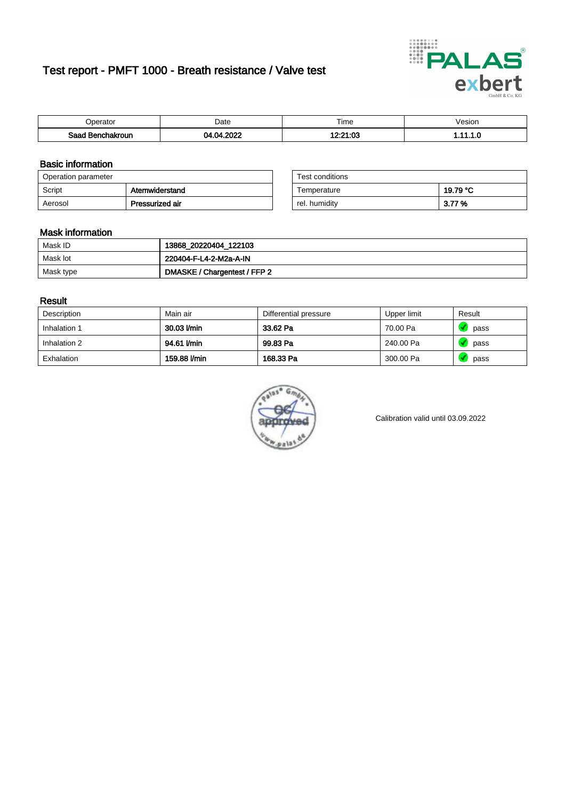# Test report - PMFT 1000 - Breath resistance / Valve test



| berator                | Date                 | $- \cdot$<br>ime         | /esion |
|------------------------|----------------------|--------------------------|--------|
| Saad<br>าchakroun<br>. | റററ<br>.na<br>м<br>. | 10.01.00<br>טט.ו<br>---- | .      |

### Basic information

| Operation parameter |                 | Test conditions |          |
|---------------------|-----------------|-----------------|----------|
| Script              | Atemwiderstand  | Temperature     | 19.79 °C |
| Aerosol             | Pressurized air | rel. humidity   | 3.77 %   |

| Test conditions |          |
|-----------------|----------|
| Temperature     | 19.79 °C |
| rel. humidity   | 3.77%    |

### Mask information

| Mask ID   | 13868_20220404_122103        |
|-----------|------------------------------|
| Mask lot  | 220404-F-L4-2-M2a-A-IN       |
| Mask type | DMASKE / Chargentest / FFP 2 |

### Result

| Description  | Main air     | Differential pressure | Upper limit | Result |
|--------------|--------------|-----------------------|-------------|--------|
| Inhalation 1 | 30.03 l/min  | 33.62 Pa              | 70.00 Pa    | pass   |
| Inhalation 2 | 94.61 l/min  | 99.83 Pa              | 240.00 Pa   | pass   |
| Exhalation   | 159.88 l/min | 168.33 Pa             | 300.00 Pa   | pass   |



Calibration valid until 03.09.2022